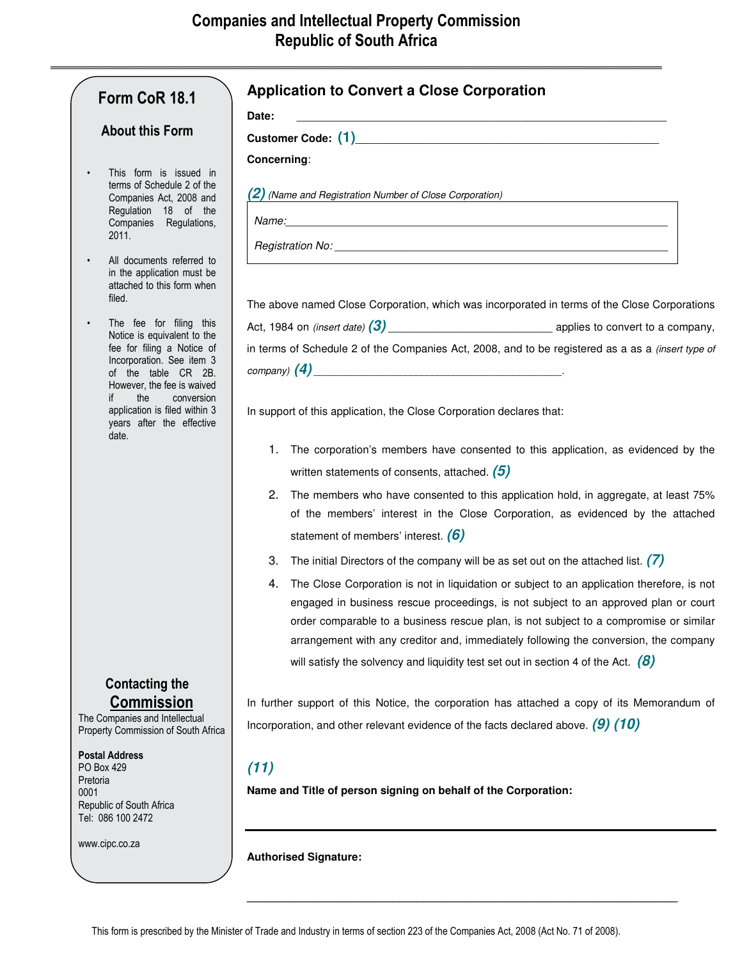|                                                                                                                                                                                                                                                                    | Date:                                                                                                                                                                                                                                                                                                                                                                                                                                                           |
|--------------------------------------------------------------------------------------------------------------------------------------------------------------------------------------------------------------------------------------------------------------------|-----------------------------------------------------------------------------------------------------------------------------------------------------------------------------------------------------------------------------------------------------------------------------------------------------------------------------------------------------------------------------------------------------------------------------------------------------------------|
| <b>About this Form</b><br>This form is issued in<br>$\bullet$<br>terms of Schedule 2 of the<br>Companies Act, 2008 and<br>Regulation 18 of the<br>Companies Regulations,<br>2011.                                                                                  | Customer Code: (1) Customer Code: (1)                                                                                                                                                                                                                                                                                                                                                                                                                           |
|                                                                                                                                                                                                                                                                    | Concerning:                                                                                                                                                                                                                                                                                                                                                                                                                                                     |
|                                                                                                                                                                                                                                                                    | $(2)$ (Name and Registration Number of Close Corporation)                                                                                                                                                                                                                                                                                                                                                                                                       |
| All documents referred to<br>in the application must be<br>attached to this form when<br>filed.                                                                                                                                                                    | Registration No: Letter and the contract of the contract of the contract of the contract of the contract of the contract of the contract of the contract of the contract of the contract of the contract of the contract of th<br>The above named Close Corporation, which was incorporated in terms of the Close Corporations                                                                                                                                  |
| The fee for filing this<br>Notice is equivalent to the<br>fee for filing a Notice of<br>Incorporation. See item 3<br>of the table CR 2B.<br>However, the fee is waived<br>the<br>conversion<br>application is filed within 3<br>years after the effective<br>date. | Act, 1984 on <i>(insert date)</i> $(3)$ <b>Active</b> 2012 <b>applies</b> to convert to a company,                                                                                                                                                                                                                                                                                                                                                              |
|                                                                                                                                                                                                                                                                    | in terms of Schedule 2 of the Companies Act, 2008, and to be registered as a as a (insert type of                                                                                                                                                                                                                                                                                                                                                               |
|                                                                                                                                                                                                                                                                    | $\mathcal{L}(\mathcal{A})$ $\qquad \qquad \qquad$ $\qquad \qquad$ $\qquad \qquad$ $\qquad \qquad$ $\qquad \qquad$ $\qquad \qquad$ $\qquad \qquad$ $\qquad \qquad$ $\qquad \qquad$ $\qquad \qquad$ $\qquad \qquad$ $\qquad$ $\qquad \qquad$ $\qquad$ $\qquad$ $\qquad$ $\qquad$ $\qquad$ $\qquad$ $\qquad$ $\qquad$ $\qquad$ $\qquad$ $\qquad$ $\qquad$ $\qquad$ $\qquad$ $\qquad$                                                                               |
|                                                                                                                                                                                                                                                                    | In support of this application, the Close Corporation declares that:                                                                                                                                                                                                                                                                                                                                                                                            |
|                                                                                                                                                                                                                                                                    | The corporation's members have consented to this application, as evidenced by the<br>1.                                                                                                                                                                                                                                                                                                                                                                         |
|                                                                                                                                                                                                                                                                    | written statements of consents, attached. $(5)$                                                                                                                                                                                                                                                                                                                                                                                                                 |
|                                                                                                                                                                                                                                                                    | The members who have consented to this application hold, in aggregate, at least 75%<br>2.<br>of the members' interest in the Close Corporation, as evidenced by the attached                                                                                                                                                                                                                                                                                    |
|                                                                                                                                                                                                                                                                    | statement of members' interest. $(6)$                                                                                                                                                                                                                                                                                                                                                                                                                           |
|                                                                                                                                                                                                                                                                    | The initial Directors of the company will be as set out on the attached list. $(7)$<br>3.                                                                                                                                                                                                                                                                                                                                                                       |
|                                                                                                                                                                                                                                                                    | The Close Corporation is not in liquidation or subject to an application therefore, is not<br>4.<br>engaged in business rescue proceedings, is not subject to an approved plan or court<br>order comparable to a business rescue plan, is not subject to a compromise or similar<br>arrangement with any creditor and, immediately following the conversion, the company<br>will satisfy the solvency and liquidity test set out in section 4 of the Act. $(8)$ |
| <b>Contacting the</b><br><b>Commission</b>                                                                                                                                                                                                                         | In further support of this Notice, the corporation has attached a copy of its Memorandum of                                                                                                                                                                                                                                                                                                                                                                     |
| The Companies and Intellectual<br>Property Commission of South Africa                                                                                                                                                                                              | Incorporation, and other relevant evidence of the facts declared above. $(9)$ (10)                                                                                                                                                                                                                                                                                                                                                                              |
| <b>Postal Address</b><br>PO Box 429<br>Pretoria<br>0001<br>Republic of South Africa<br>Tel: 086 100 2472                                                                                                                                                           | (11)<br>Name and Title of person signing on behalf of the Corporation:                                                                                                                                                                                                                                                                                                                                                                                          |
| www.cipc.co.za                                                                                                                                                                                                                                                     | <b>Authorised Signature:</b>                                                                                                                                                                                                                                                                                                                                                                                                                                    |

**\_\_\_\_\_\_\_\_\_\_\_\_\_\_\_\_\_\_\_\_\_\_\_\_\_\_\_\_\_\_\_\_\_\_\_\_\_\_\_\_\_\_\_\_\_\_\_\_\_\_\_\_\_\_\_\_\_\_\_\_\_\_\_\_\_\_\_\_\_\_\_**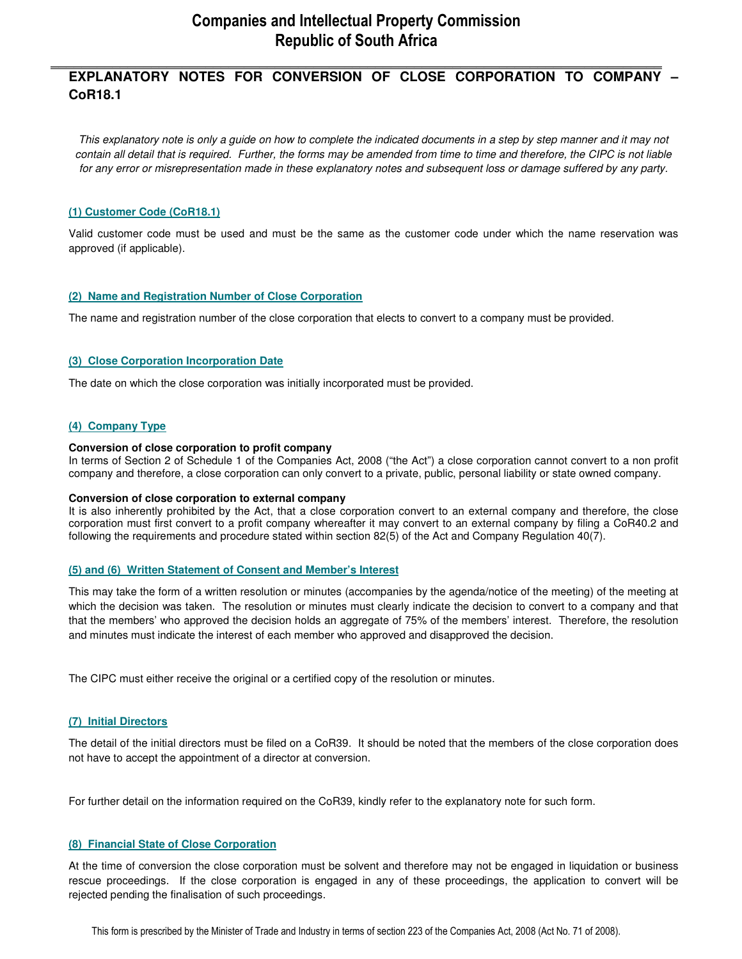## **Companies and Intellectual Property Commission Republic of South Africa**

## **\_\_\_\_\_\_\_\_\_\_\_\_\_\_\_\_\_\_\_\_\_\_\_\_\_\_\_\_\_\_\_\_\_\_\_\_\_\_\_\_\_\_\_\_\_\_\_\_\_\_\_\_\_\_\_\_\_\_\_\_\_\_\_\_\_\_\_\_\_\_\_\_\_\_\_\_\_\_\_ EXPLANATORY NOTES FOR CONVERSION OF CLOSE CORPORATION TO COMPANY – CoR18.1**

*This explanatory note is only a guide on how to complete the indicated documents in a step by step manner and it may not contain all detail that is required. Further, the forms may be amended from time to time and therefore, the CIPC is not liable for any error or misrepresentation made in these explanatory notes and subsequent loss or damage suffered by any party.* 

#### **(1) Customer Code (CoR18.1)**

Valid customer code must be used and must be the same as the customer code under which the name reservation was approved (if applicable).

#### **(2) Name and Registration Number of Close Corporation**

The name and registration number of the close corporation that elects to convert to a company must be provided.

#### **(3) Close Corporation Incorporation Date**

The date on which the close corporation was initially incorporated must be provided.

#### **(4) Company Type**

#### **Conversion of close corporation to profit company**

In terms of Section 2 of Schedule 1 of the Companies Act, 2008 ("the Act") a close corporation cannot convert to a non profit company and therefore, a close corporation can only convert to a private, public, personal liability or state owned company.

#### **Conversion of close corporation to external company**

It is also inherently prohibited by the Act, that a close corporation convert to an external company and therefore, the close corporation must first convert to a profit company whereafter it may convert to an external company by filing a CoR40.2 and following the requirements and procedure stated within section 82(5) of the Act and Company Regulation 40(7).

#### **(5) and (6) Written Statement of Consent and Member's Interest**

This may take the form of a written resolution or minutes (accompanies by the agenda/notice of the meeting) of the meeting at which the decision was taken. The resolution or minutes must clearly indicate the decision to convert to a company and that that the members' who approved the decision holds an aggregate of 75% of the members' interest. Therefore, the resolution and minutes must indicate the interest of each member who approved and disapproved the decision.

The CIPC must either receive the original or a certified copy of the resolution or minutes.

#### **(7) Initial Directors**

The detail of the initial directors must be filed on a CoR39. It should be noted that the members of the close corporation does not have to accept the appointment of a director at conversion.

For further detail on the information required on the CoR39, kindly refer to the explanatory note for such form.

#### **(8) Financial State of Close Corporation**

At the time of conversion the close corporation must be solvent and therefore may not be engaged in liquidation or business rescue proceedings. If the close corporation is engaged in any of these proceedings, the application to convert will be rejected pending the finalisation of such proceedings.

This form is prescribed by the Minister of Trade and Industry in terms of section 223 of the Companies Act, 2008 (Act No. 71 of 2008).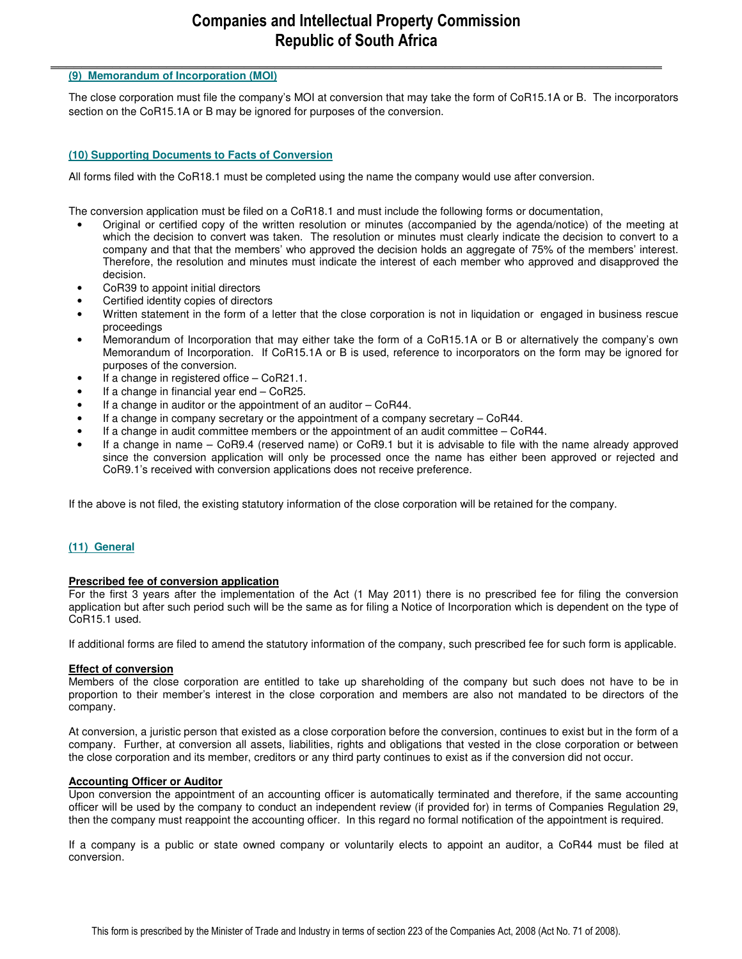# **Companies and Intellectual Property Commission Republic of South Africa**

### **\_\_\_\_\_\_\_\_\_\_\_\_\_\_\_\_\_\_\_\_\_\_\_\_\_\_\_\_\_\_\_\_\_\_\_\_\_\_\_\_\_\_\_\_\_\_\_\_\_\_\_\_\_\_\_\_\_\_\_\_\_\_\_\_\_\_\_\_\_\_\_\_\_\_\_\_\_\_\_ (9) Memorandum of Incorporation (MOI)**

The close corporation must file the company's MOI at conversion that may take the form of CoR15.1A or B. The incorporators section on the CoR15.1A or B may be ignored for purposes of the conversion.

#### **(10) Supporting Documents to Facts of Conversion**

All forms filed with the CoR18.1 must be completed using the name the company would use after conversion.

The conversion application must be filed on a CoR18.1 and must include the following forms or documentation,

- Original or certified copy of the written resolution or minutes (accompanied by the agenda/notice) of the meeting at which the decision to convert was taken. The resolution or minutes must clearly indicate the decision to convert to a company and that that the members' who approved the decision holds an aggregate of 75% of the members' interest. Therefore, the resolution and minutes must indicate the interest of each member who approved and disapproved the decision.
- CoR39 to appoint initial directors
- Certified identity copies of directors
- Written statement in the form of a letter that the close corporation is not in liquidation or engaged in business rescue proceedings
- Memorandum of Incorporation that may either take the form of a CoR15.1A or B or alternatively the company's own Memorandum of Incorporation. If CoR15.1A or B is used, reference to incorporators on the form may be ignored for purposes of the conversion.
- If a change in registered office  $-$  CoR21.1.
- If a change in financial year end CoR25.
- If a change in auditor or the appointment of an auditor CoR44.
- If a change in company secretary or the appointment of a company secretary  $-$  CoR44.
- If a change in audit committee members or the appointment of an audit committee CoR44.
- If a change in name CoR9.4 (reserved name) or CoR9.1 but it is advisable to file with the name already approved since the conversion application will only be processed once the name has either been approved or rejected and CoR9.1's received with conversion applications does not receive preference.

If the above is not filed, the existing statutory information of the close corporation will be retained for the company.

#### **(11) General**

#### **Prescribed fee of conversion application**

For the first 3 years after the implementation of the Act (1 May 2011) there is no prescribed fee for filing the conversion application but after such period such will be the same as for filing a Notice of Incorporation which is dependent on the type of CoR15.1 used.

If additional forms are filed to amend the statutory information of the company, such prescribed fee for such form is applicable.

#### **Effect of conversion**

Members of the close corporation are entitled to take up shareholding of the company but such does not have to be in proportion to their member's interest in the close corporation and members are also not mandated to be directors of the company.

At conversion, a juristic person that existed as a close corporation before the conversion, continues to exist but in the form of a company. Further, at conversion all assets, liabilities, rights and obligations that vested in the close corporation or between the close corporation and its member, creditors or any third party continues to exist as if the conversion did not occur.

#### **Accounting Officer or Auditor**

Upon conversion the appointment of an accounting officer is automatically terminated and therefore, if the same accounting officer will be used by the company to conduct an independent review (if provided for) in terms of Companies Regulation 29, then the company must reappoint the accounting officer. In this regard no formal notification of the appointment is required.

If a company is a public or state owned company or voluntarily elects to appoint an auditor, a CoR44 must be filed at conversion.